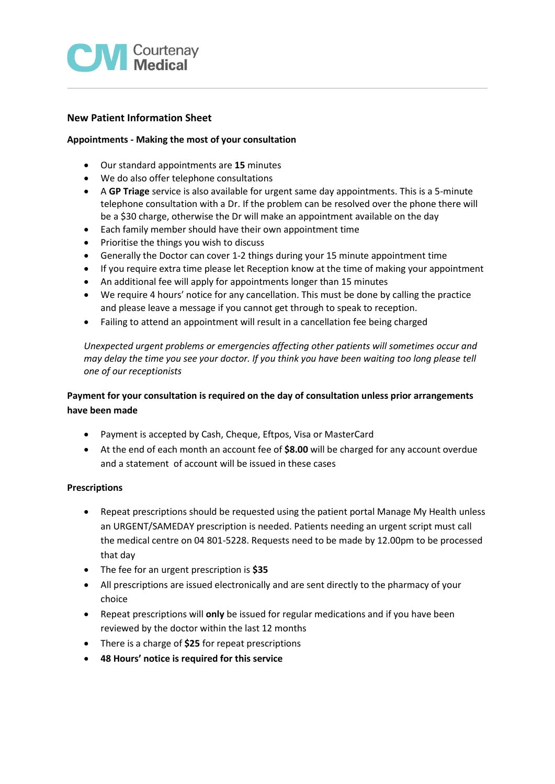

## **New Patient Information Sheet**

## **Appointments - Making the most of your consultation**

- Our standard appointments are **15** minutes
- We do also offer telephone consultations
- A **GP Triage** service is also available for urgent same day appointments. This is a 5-minute telephone consultation with a Dr. If the problem can be resolved over the phone there will be a \$30 charge, otherwise the Dr will make an appointment available on the day
- Each family member should have their own appointment time
- Prioritise the things you wish to discuss
- Generally the Doctor can cover 1-2 things during your 15 minute appointment time
- If you require extra time please let Reception know at the time of making your appointment
- An additional fee will apply for appointments longer than 15 minutes
- We require 4 hours' notice for any cancellation. This must be done by calling the practice and please leave a message if you cannot get through to speak to reception.
- Failing to attend an appointment will result in a cancellation fee being charged

*Unexpected urgent problems or emergencies affecting other patients will sometimes occur and may delay the time you see your doctor. If you think you have been waiting too long please tell one of our receptionists*

# **Payment for your consultation is required on the day of consultation unless prior arrangements have been made**

- Payment is accepted by Cash, Cheque, Eftpos, Visa or MasterCard
- At the end of each month an account fee of **\$8.00** will be charged for any account overdue and a statement of account will be issued in these cases

## **Prescriptions**

- Repeat prescriptions should be requested using the patient portal Manage My Health unless an URGENT/SAMEDAY prescription is needed. Patients needing an urgent script must call the medical centre on 04 801-5228. Requests need to be made by 12.00pm to be processed that day
- The fee for an urgent prescription is **\$35**
- All prescriptions are issued electronically and are sent directly to the pharmacy of your choice
- Repeat prescriptions will **only** be issued for regular medications and if you have been reviewed by the doctor within the last 12 months
- There is a charge of **\$25** for repeat prescriptions
- **48 Hours' notice is required for this service**